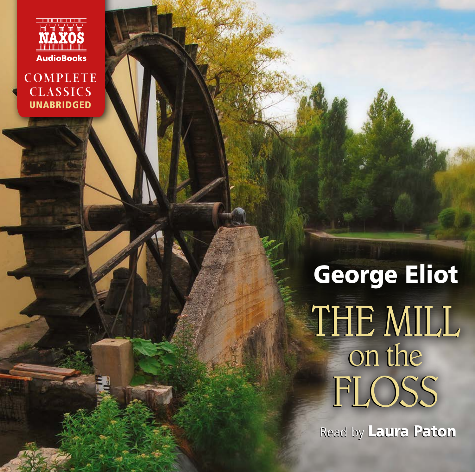

**COMPLETE CLASSICS** UNABRIDGED

> George Eliot THE Mill THE Mill on the on the Floss Floss

Read by Laura Paton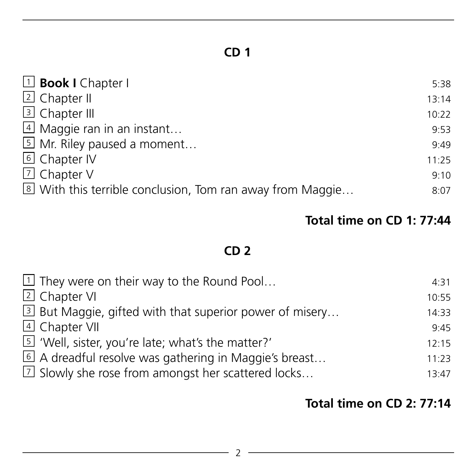| $\Box$ <b>Book I</b> Chapter I                            | 5:38  |
|-----------------------------------------------------------|-------|
| 2 Chapter II                                              | 13:14 |
| 3 Chapter III                                             | 10:22 |
| 4 Maggie ran in an instant                                | 9:53  |
| 5 Mr. Riley paused a moment                               | 9:49  |
| 6 Chapter IV                                              | 11:25 |
| 7 Chapter V                                               | 9:10  |
| 8 With this terrible conclusion, Tom ran away from Maggie | 8:07  |
|                                                           |       |

#### **Total time on CD 1: 77:44**

# **CD 2**

| $\boxed{1}$ They were on their way to the Round Pool         | 4:31  |
|--------------------------------------------------------------|-------|
| 2 Chapter VI                                                 | 10:55 |
| 3 But Maggie, gifted with that superior power of misery      | 14:33 |
| 4 Chapter VII                                                | 9.45  |
| 5 'Well, sister, you're late; what's the matter?'            | 12:15 |
| 6 A dreadful resolve was gathering in Maggie's breast        | 11:23 |
| $\boxed{1}$ Slowly she rose from amongst her scattered locks | 13:47 |

#### **Total time on CD 2: 77:14**

<u> 1989 - Johann Barn, mars ann an t-</u>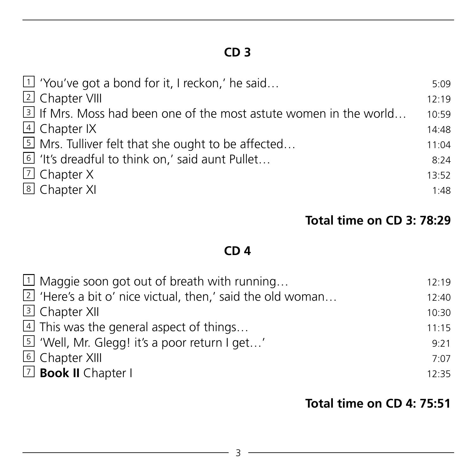| $\boxed{1}$ 'You've got a bond for it, I reckon,' he said         | 5:09  |
|-------------------------------------------------------------------|-------|
| 2 Chapter VIII                                                    | 12:19 |
| 3 If Mrs. Moss had been one of the most astute women in the world | 10:59 |
| 4 Chapter IX                                                      | 14:48 |
| 5 Mrs. Tulliver felt that she ought to be affected                | 11:04 |
| If 'It's dreadful to think on,' said aunt Pullet                  | 8:24  |
| $\Box$ Chapter X                                                  | 13:52 |
| 8 Chapter XI                                                      | 1:48  |
|                                                                   |       |

#### **Total time on CD 3: 78:29**

## **CD 4**

| $\Box$ Maggie soon got out of breath with running                    | 12:19 |
|----------------------------------------------------------------------|-------|
| $\boxed{2}$ 'Here's a bit o' nice victual, then,' said the old woman | 12:40 |
| 3 Chapter XII                                                        | 10:30 |
| $4$ This was the general aspect of things                            | 11:15 |
| 5 'Well, Mr. Glegg! it's a poor return I get'                        | 9:21  |
| <b>6</b> Chapter XIII                                                | 7.07  |
| $\Box$ <b>Book II</b> Chapter I                                      | 12:35 |

#### **Total time on CD 4: 75:51**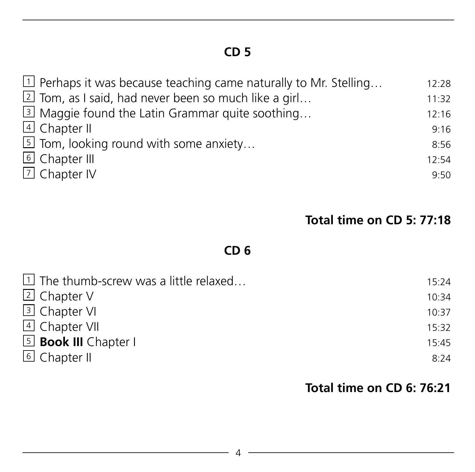| $\boxed{1}$ Perhaps it was because teaching came naturally to Mr. Stelling | 12:28 |
|----------------------------------------------------------------------------|-------|
| $\boxed{2}$ Tom, as I said, had never been so much like a girl             | 11:32 |
| 3 Maggie found the Latin Grammar quite soothing                            | 12:16 |
| 4 Chapter II                                                               | 9:16  |
| $5$ Tom, looking round with some anxiety                                   | 8:56  |
| <b>6</b> Chapter III                                                       | 12:54 |
| <b>7</b> Chapter IV                                                        | 9.50  |
|                                                                            |       |

#### **Total time on CD 5: 77:18**

# **CD 6**

| $\exists$ The thumb-screw was a little relaxed | 15:24 |
|------------------------------------------------|-------|
| $\overline{2}$ Chapter V                       | 10:34 |
| 3 Chapter VI                                   | 10:37 |
| $\overline{4}$ Chapter VII                     | 15:32 |
| 5 <b>Book III</b> Chapter I                    | 15:45 |
| $\overline{6}$ Chapter II                      | 8:24  |

#### **Total time on CD 6: 76:21**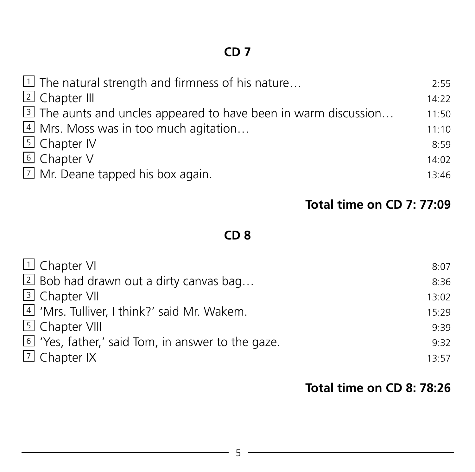| $\boxed{1}$ The natural strength and firmness of his nature     | 2:55  |
|-----------------------------------------------------------------|-------|
| 2 Chapter III                                                   | 14:22 |
| 3 The aunts and uncles appeared to have been in warm discussion | 11:50 |
| 4 Mrs. Moss was in too much agitation                           | 11:10 |
| <b>5</b> Chapter IV                                             | 8:59  |
| 6 Chapter V                                                     | 14:02 |
| $\boxed{2}$ Mr. Deane tapped his box again.                     | 13:46 |
|                                                                 |       |

#### **Total time on CD 7: 77:09**

#### **CD 8**

| $\Box$ Chapter VI                                 | 8:07  |
|---------------------------------------------------|-------|
| $\boxed{2}$ Bob had drawn out a dirty canvas bag  | 8:36  |
| 3 Chapter VII                                     | 13:02 |
| 4 'Mrs. Tulliver, I think?' said Mr. Wakem.       | 15:29 |
| 5 Chapter VIII                                    | 9.39  |
| 6 'Yes, father,' said Tom, in answer to the gaze. | 9:32  |
| $\boxdot$ Chapter IX                              | 13.57 |
|                                                   |       |

#### **Total time on CD 8: 78:26**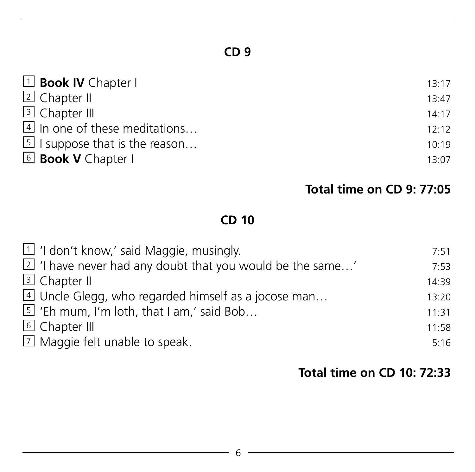| 1 <b>Book IV</b> Chapter I                  | 13:17 |
|---------------------------------------------|-------|
| $\overline{2}$ Chapter II                   | 13:47 |
| 3 Chapter III                               | 14.17 |
| 4 In one of these meditations               | 12:12 |
| $\overline{5}$ I suppose that is the reason | 10:19 |
| 6 <b>Book V</b> Chapter I                   | 13:07 |

#### **Total time on CD 9: 77:05**

# **CD 10**

| $\boxed{1}$ 'I don't know,' said Maggie, musingly. |                                                                     | 7:51  |
|----------------------------------------------------|---------------------------------------------------------------------|-------|
|                                                    | $\boxed{2}$ 'I have never had any doubt that you would be the same' | 7:53  |
| 3 Chapter II                                       |                                                                     | 14:39 |
|                                                    | 4 Uncle Glegg, who regarded himself as a jocose man                 | 13:20 |
| $5$ 'Eh mum, I'm loth, that I am,' said Bob        |                                                                     | 11:31 |
| [6] Chapter III                                    |                                                                     | 11:58 |
| $\boxed{7}$ Maggie felt unable to speak.           |                                                                     | 5:16  |
|                                                    |                                                                     |       |

#### **Total time on CD 10: 72:33**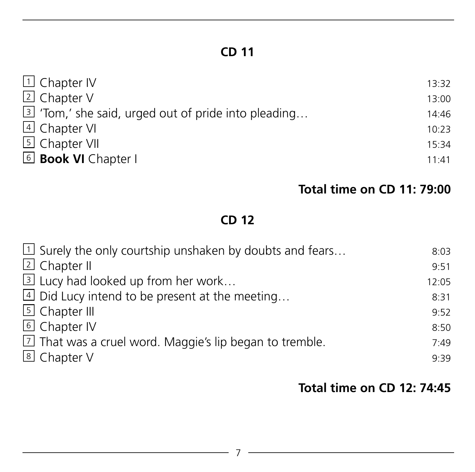| $\Box$ Chapter IV                                             | 13:32 |
|---------------------------------------------------------------|-------|
| <b>2</b> Chapter V                                            | 13:00 |
| $\boxed{3}$ 'Tom,' she said, urged out of pride into pleading | 14:46 |
| 4 Chapter VI                                                  | 10:23 |
| 5 Chapter VII                                                 | 15:34 |
| <b>6</b> Book VI Chapter I                                    | 11:41 |
|                                                               |       |

#### **Total time on CD 11: 79:00**

## **CD 12**

| $\boxed{1}$ Surely the only courtship unshaken by doubts and fears | 8:03  |
|--------------------------------------------------------------------|-------|
| 2 Chapter II                                                       | 9:51  |
| 3 Lucy had looked up from her work                                 | 12:05 |
| 4 Did Lucy intend to be present at the meeting                     | 8:31  |
| <b>5</b> Chapter III                                               | 9:52  |
| 6 Chapter IV                                                       | 8:50  |
| $\boxed{2}$ That was a cruel word. Maggie's lip began to tremble.  | 7:49  |
| 8 Chapter V                                                        | 9:39  |

#### **Total time on CD 12: 74:45**

<u> 1989 - Johann Barn, mars ann an t-</u>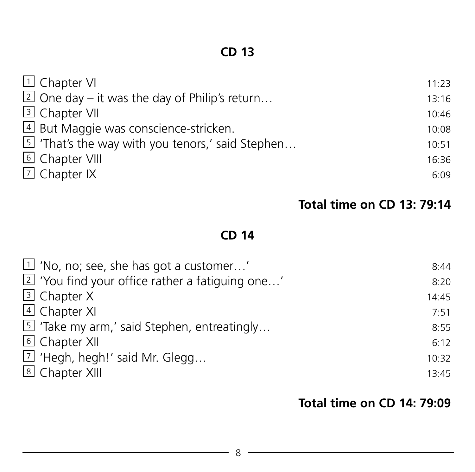| 1 Chapter VI                                            | 11:23 |
|---------------------------------------------------------|-------|
| $\boxed{2}$ One day – it was the day of Philip's return | 13:16 |
| <b>3</b> Chapter VII                                    | 10:46 |
| 4 But Maggie was conscience-stricken.                   | 10:08 |
| 5 'That's the way with you tenors,' said Stephen        | 10:51 |
| 6 Chapter VIII                                          | 16:36 |
| $\boxed{7}$ Chapter IX                                  | 6:09  |

## **Total time on CD 13: 79:14**

#### **CD 14**

| $\boxed{1}$ 'No, no; see, she has got a customer'         | 8:44  |
|-----------------------------------------------------------|-------|
| $\boxed{2}$ 'You find your office rather a fatiguing one' | 8:20  |
| 3 Chapter X                                               | 14:45 |
| 4 Chapter XI                                              | 7.51  |
| 5 'Take my arm,' said Stephen, entreatingly               | 8:55  |
| <b>6</b> Chapter XII                                      | 6:12  |
| 7 'Hegh, hegh!' said Mr. Glegg                            | 10:32 |
| <b>8</b> Chapter XIII                                     | 13:45 |
|                                                           |       |

#### **Total time on CD 14: 79:09**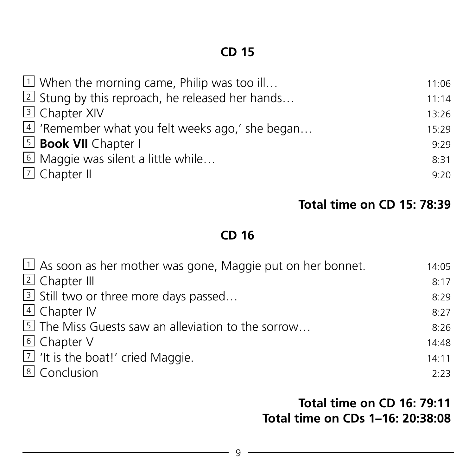| $\boxed{1}$ When the morning came, Philip was too ill     | 11:06 |
|-----------------------------------------------------------|-------|
| $\boxed{2}$ Stung by this reproach, he released her hands | 11:14 |
| 3 Chapter XIV                                             | 13:26 |
| 4 'Remember what you felt weeks ago,' she began           | 15:29 |
| <b>5</b> Book VII Chapter I                               | 9:29  |
| 6 Maggie was silent a little while                        | 8:31  |
| $\Box$ Chapter II                                         | 9:20  |

#### **Total time on CD 15: 78:39**

#### **CD 16**

| $\Box$ As soon as her mother was gone, Maggie put on her bonnet. | 14:05 |
|------------------------------------------------------------------|-------|
| 2 Chapter III                                                    | 8:17  |
| 3 Still two or three more days passed                            | 8:29  |
| 4 Chapter IV                                                     | 8:27  |
| 5 The Miss Guests saw an alleviation to the sorrow               | 8:26  |
| 6 Chapter V                                                      | 14:48 |
| $\boxed{2}$ 'It is the boat!' cried Maggie.                      | 14:11 |
| 8 Conclusion                                                     | 2:23  |

#### **Total time on CD 16: 79:11 Total time on CDs 1–16: 20:38:08**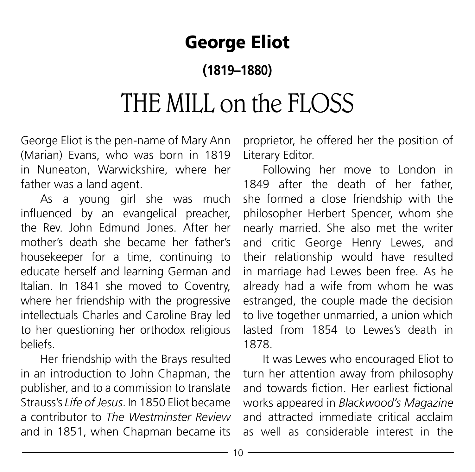# George Eliot

# **(1819–1880)**

# THE MILL on the FLOSS

George Eliot is the pen-name of Mary Ann (Marian) Evans, who was born in 1819 in Nuneaton, Warwickshire, where her father was a land agent.

As a young girl she was much influenced by an evangelical preacher, the Rev. John Edmund Jones. After her mother's death she became her father's housekeeper for a time, continuing to educate herself and learning German and Italian. In 1841 she moved to Coventry, where her friendship with the progressive intellectuals Charles and Caroline Bray led to her questioning her orthodox religious beliefs.

Her friendship with the Brays resulted in an introduction to John Chapman, the publisher, and to a commission to translate Strauss's *Life of Jesus*. In 1850 Eliot became a contributor to *The Westminster Review* and in 1851, when Chapman became its proprietor, he offered her the position of Literary Editor.

Following her move to London in 1849 after the death of her father, she formed a close friendship with the philosopher Herbert Spencer, whom she nearly married. She also met the writer and critic George Henry Lewes, and their relationship would have resulted in marriage had Lewes been free. As he already had a wife from whom he was estranged, the couple made the decision to live together unmarried, a union which lasted from 1854 to Lewes's death in 1878.

It was Lewes who encouraged Eliot to turn her attention away from philosophy and towards fiction. Her earliest fictional works appeared in *Blackwood's Magazine* and attracted immediate critical acclaim as well as considerable interest in the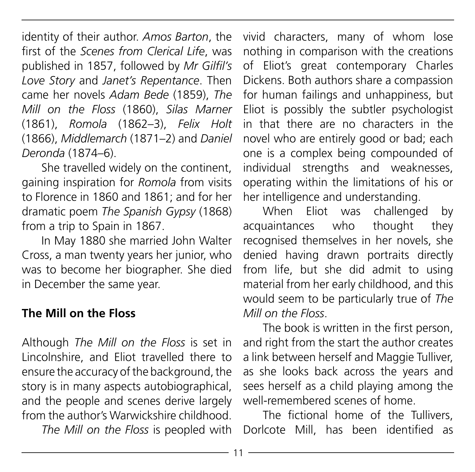identity of their author. *Amos Barton*, the first of the *Scenes from Clerical Life*, was published in 1857, followed by *Mr Gilfil's Love Story* and *Janet's Repentance*. Then came her novels *Adam Bede* (1859), *The Mill on the Floss* (1860), *Silas Marner* (1861), *Romola* (1862–3), *Felix Holt* (1866), *Middlemarch* (1871–2) and *Daniel Deronda* (1874–6).

She travelled widely on the continent, gaining inspiration for *Romola* from visits to Florence in 1860 and 1861; and for her dramatic poem *The Spanish Gypsy* (1868) from a trip to Spain in 1867.

In May 1880 she married John Walter Cross, a man twenty years her junior, who was to become her biographer. She died in December the same year.

#### **The Mill on the Floss**

Although *The Mill on the Floss* is set in Lincolnshire, and Eliot travelled there to ensure the accuracy of the background, the story is in many aspects autobiographical, and the people and scenes derive largely from the author's Warwickshire childhood.

*The Mill on the Floss* is peopled with

vivid characters, many of whom lose nothing in comparison with the creations of Eliot's great contemporary Charles Dickens. Both authors share a compassion for human failings and unhappiness, but Eliot is possibly the subtler psychologist in that there are no characters in the novel who are entirely good or bad; each one is a complex being compounded of individual strengths and weaknesses, operating within the limitations of his or her intelligence and understanding.

When Eliot was challenged by acquaintances who thought they recognised themselves in her novels, she denied having drawn portraits directly from life, but she did admit to using material from her early childhood, and this would seem to be particularly true of *The Mill on the Floss*.

The book is written in the first person, and right from the start the author creates a link between herself and Maggie Tulliver, as she looks back across the years and sees herself as a child playing among the well-remembered scenes of home.

The fictional home of the Tullivers, Dorlcote Mill, has been identified as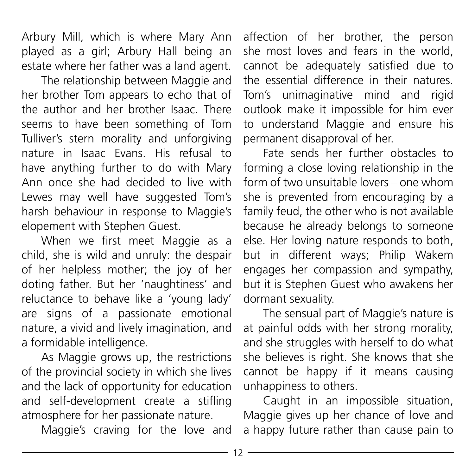Arbury Mill, which is where Mary Ann played as a girl; Arbury Hall being an estate where her father was a land agent.

The relationship between Maggie and her brother Tom appears to echo that of the author and her brother Isaac. There seems to have been something of Tom Tulliver's stern morality and unforgiving nature in Isaac Evans. His refusal to have anything further to do with Mary Ann once she had decided to live with Lewes may well have suggested Tom's harsh behaviour in response to Maggie's elopement with Stephen Guest.

When we first meet Maggie as a child, she is wild and unruly: the despair of her helpless mother; the joy of her doting father. But her 'naughtiness' and reluctance to behave like a 'young lady' are signs of a passionate emotional nature, a vivid and lively imagination, and a formidable intelligence.

As Maggie grows up, the restrictions of the provincial society in which she lives and the lack of opportunity for education and self-development create a stifling atmosphere for her passionate nature.

Maggie's craving for the love and

affection of her brother, the person she most loves and fears in the world, cannot be adequately satisfied due to the essential difference in their natures. Tom's unimaginative mind and rigid outlook make it impossible for him ever to understand Maggie and ensure his permanent disapproval of her.

Fate sends her further obstacles to forming a close loving relationship in the form of two unsuitable lovers – one whom she is prevented from encouraging by a family feud, the other who is not available because he already belongs to someone else. Her loving nature responds to both, but in different ways; Philip Wakem engages her compassion and sympathy, but it is Stephen Guest who awakens her dormant sexuality.

The sensual part of Maggie's nature is at painful odds with her strong morality, and she struggles with herself to do what she believes is right. She knows that she cannot be happy if it means causing unhappiness to others.

Caught in an impossible situation, Maggie gives up her chance of love and a happy future rather than cause pain to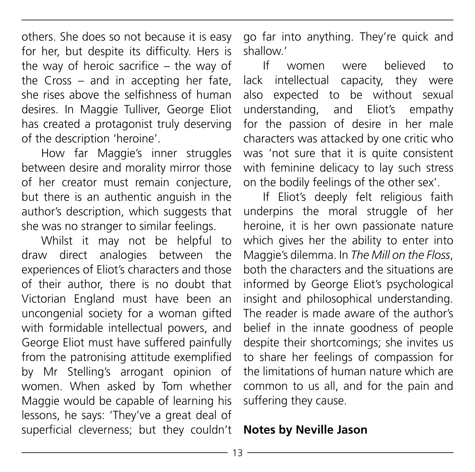others. She does so not because it is easy for her, but despite its difficulty. Hers is the way of heroic sacrifice – the way of the Cross – and in accepting her fate, she rises above the selfishness of human desires. In Maggie Tulliver, George Eliot has created a protagonist truly deserving of the description 'heroine'.

How far Maggie's inner struggles between desire and morality mirror those of her creator must remain conjecture, but there is an authentic anguish in the author's description, which suggests that she was no stranger to similar feelings.

Whilst it may not be helpful to draw direct analogies between the experiences of Eliot's characters and those of their author, there is no doubt that Victorian England must have been an uncongenial society for a woman gifted with formidable intellectual powers, and George Eliot must have suffered painfully from the patronising attitude exemplified by Mr Stelling's arrogant opinion of women. When asked by Tom whether Maggie would be capable of learning his lessons, he says: 'They've a great deal of superficial cleverness; but they couldn't

go far into anything. They're quick and shallow.'

If women were believed to lack intellectual capacity, they were also expected to be without sexual understanding, and Eliot's empathy for the passion of desire in her male characters was attacked by one critic who was 'not sure that it is quite consistent with feminine delicacy to lay such stress on the bodily feelings of the other sex'.

If Eliot's deeply felt religious faith underpins the moral struggle of her heroine, it is her own passionate nature which gives her the ability to enter into Maggie's dilemma. In *The Mill on the Floss*, both the characters and the situations are informed by George Eliot's psychological insight and philosophical understanding. The reader is made aware of the author's belief in the innate goodness of people despite their shortcomings; she invites us to share her feelings of compassion for the limitations of human nature which are common to us all, and for the pain and suffering they cause.

#### **Notes by Neville Jason**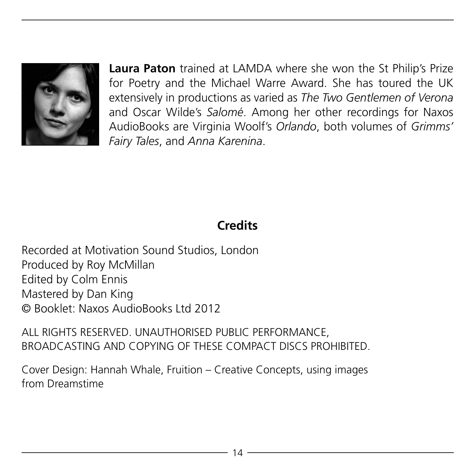

**Laura Paton** trained at LAMDA where she won the St Philip's Prize for Poetry and the Michael Warre Award. She has toured the UK extensively in productions as varied as *The Two Gentlemen of Verona* and Oscar Wilde's *Salomé*. Among her other recordings for Naxos AudioBooks are Virginia Woolf's *Orlando*, both volumes of *Grimms' Fairy Tales*, and *Anna Karenina*.

## **Credits**

Recorded at Motivation Sound Studios, London Produced by Roy McMillan Edited by Colm Ennis Mastered by Dan King © Booklet: Naxos AudioBooks Ltd 2012

ALL RIGHTS RESERVED. UNAUTHORISED PUBLIC PERFORMANCE, BROADCASTING AND COPYING OF THESE COMPACT DISCS PROHIBITED.

Cover Design: Hannah Whale, Fruition – Creative Concepts, using images from Dreamstime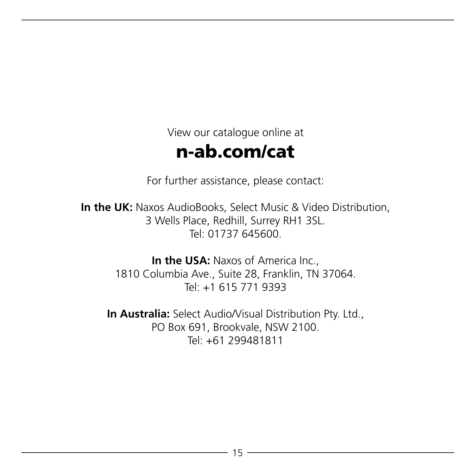View our catalogue online at

# n-ab.com/cat

For further assistance, please contact:

**In the UK:** Naxos AudioBooks, Select Music & Video Distribution, 3 Wells Place, Redhill, Surrey RH1 3SL. Tel: 01737 645600.

> **In the USA: Naxos of America Inc.** 1810 Columbia Ave., Suite 28, Franklin, TN 37064. Tel: +1 615 771 9393

**In Australia:** Select Audio/Visual Distribution Pty. Ltd., PO Box 691, Brookvale, NSW 2100. Tel: +61 299481811